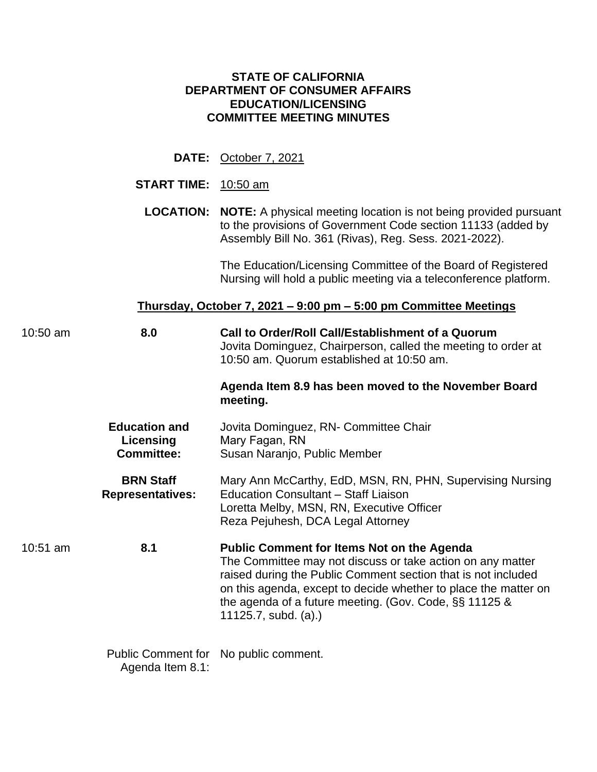## **STATE OF CALIFORNIA DEPARTMENT OF CONSUMER AFFAIRS EDUCATION/LICENSING COMMITTEE MEETING MINUTES**

## **DATE:** October 7, 2021

#### **START TIME:** 10:50 am

 Assembly Bill No. 361 (Rivas), Reg. Sess. 2021-2022). **LOCATION: NOTE:** A physical meeting location is not being provided pursuant to the provisions of Government Code section 11133 (added by

> The Education/Licensing Committee of the Board of Registered Nursing will hold a public meeting via a teleconference platform.

#### **Thursday, October 7, 2021 – 9:00 pm – 5:00 pm Committee Meetings**

| $10:50$ am | 8.0                                                    | Call to Order/Roll Call/Establishment of a Quorum<br>Jovita Dominguez, Chairperson, called the meeting to order at<br>10:50 am. Quorum established at 10:50 am.                                                                                                                                                                              |
|------------|--------------------------------------------------------|----------------------------------------------------------------------------------------------------------------------------------------------------------------------------------------------------------------------------------------------------------------------------------------------------------------------------------------------|
|            |                                                        | Agenda Item 8.9 has been moved to the November Board<br>meeting.                                                                                                                                                                                                                                                                             |
|            | <b>Education and</b><br>Licensing<br><b>Committee:</b> | Jovita Dominguez, RN- Committee Chair<br>Mary Fagan, RN<br>Susan Naranjo, Public Member                                                                                                                                                                                                                                                      |
|            | <b>BRN Staff</b><br><b>Representatives:</b>            | Mary Ann McCarthy, EdD, MSN, RN, PHN, Supervising Nursing<br><b>Education Consultant - Staff Liaison</b><br>Loretta Melby, MSN, RN, Executive Officer<br>Reza Pejuhesh, DCA Legal Attorney                                                                                                                                                   |
| $10:51$ am | 8.1                                                    | <b>Public Comment for Items Not on the Agenda</b><br>The Committee may not discuss or take action on any matter<br>raised during the Public Comment section that is not included<br>on this agenda, except to decide whether to place the matter on<br>the agenda of a future meeting. (Gov. Code, $\S$ § 11125 &<br>$11125.7$ , subd. (a).) |
|            |                                                        | Public Comment for No public comment.                                                                                                                                                                                                                                                                                                        |

Agenda Item 8.1: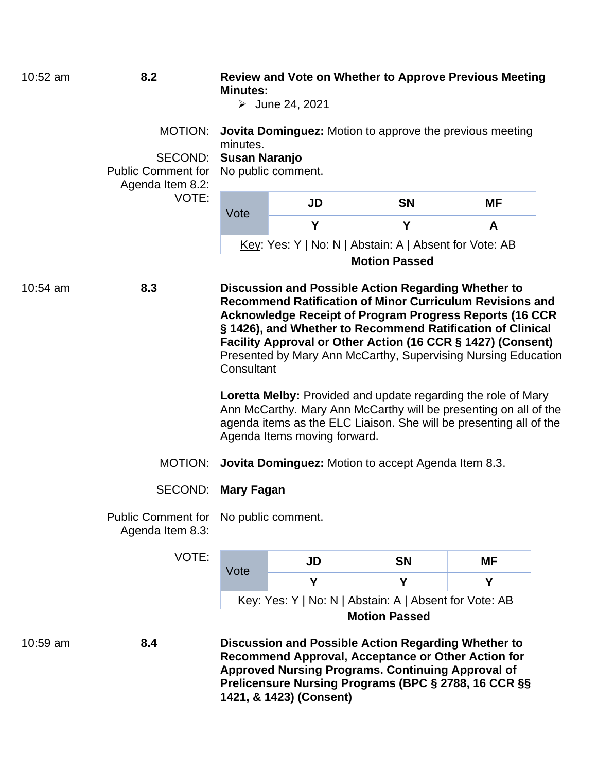| 10:52 am | 8.2                                             | <b>Minutes:</b>                                                                                                                                                                                                                                | <b>Review and Vote on Whether to Approve Previous Meeting</b><br>$\triangleright$ June 24, 2021                                                                                                                                                                                                                                                                                        |                      |           |  |  |
|----------|-------------------------------------------------|------------------------------------------------------------------------------------------------------------------------------------------------------------------------------------------------------------------------------------------------|----------------------------------------------------------------------------------------------------------------------------------------------------------------------------------------------------------------------------------------------------------------------------------------------------------------------------------------------------------------------------------------|----------------------|-----------|--|--|
|          | MOTION:<br>SECOND:<br><b>Public Comment for</b> | minutes.<br><b>Susan Naranjo</b>                                                                                                                                                                                                               | <b>Jovita Dominguez:</b> Motion to approve the previous meeting<br>No public comment.                                                                                                                                                                                                                                                                                                  |                      |           |  |  |
|          | Agenda Item 8.2:<br>VOTE:                       |                                                                                                                                                                                                                                                | <b>JD</b>                                                                                                                                                                                                                                                                                                                                                                              | <b>SN</b>            | <b>MF</b> |  |  |
|          |                                                 | Vote                                                                                                                                                                                                                                           | Y                                                                                                                                                                                                                                                                                                                                                                                      | Y                    | A         |  |  |
|          |                                                 |                                                                                                                                                                                                                                                | <u>Key</u> : Yes: Y   No: N   Abstain: A   Absent for Vote: AB                                                                                                                                                                                                                                                                                                                         |                      |           |  |  |
|          |                                                 |                                                                                                                                                                                                                                                |                                                                                                                                                                                                                                                                                                                                                                                        | <b>Motion Passed</b> |           |  |  |
| 10:54 am | 8.3                                             | Consultant                                                                                                                                                                                                                                     | Discussion and Possible Action Regarding Whether to<br><b>Recommend Ratification of Minor Curriculum Revisions and</b><br><b>Acknowledge Receipt of Program Progress Reports (16 CCR</b><br>§ 1426), and Whether to Recommend Ratification of Clinical<br>Facility Approval or Other Action (16 CCR § 1427) (Consent)<br>Presented by Mary Ann McCarthy, Supervising Nursing Education |                      |           |  |  |
|          |                                                 | <b>Loretta Melby:</b> Provided and update regarding the role of Mary<br>Ann McCarthy. Mary Ann McCarthy will be presenting on all of the<br>agenda items as the ELC Liaison. She will be presenting all of the<br>Agenda Items moving forward. |                                                                                                                                                                                                                                                                                                                                                                                        |                      |           |  |  |
|          | MOTION:                                         |                                                                                                                                                                                                                                                | Jovita Dominguez: Motion to accept Agenda Item 8.3.                                                                                                                                                                                                                                                                                                                                    |                      |           |  |  |
|          | SECOND:                                         | Mary Fagan                                                                                                                                                                                                                                     |                                                                                                                                                                                                                                                                                                                                                                                        |                      |           |  |  |
|          | Agenda Item 8.3:                                | Public Comment for No public comment.                                                                                                                                                                                                          |                                                                                                                                                                                                                                                                                                                                                                                        |                      |           |  |  |
|          | VOTE:                                           |                                                                                                                                                                                                                                                | JD                                                                                                                                                                                                                                                                                                                                                                                     | <b>SN</b>            | <b>MF</b> |  |  |
|          |                                                 | Vote                                                                                                                                                                                                                                           | Y                                                                                                                                                                                                                                                                                                                                                                                      | Y                    | Y         |  |  |
|          |                                                 | Key: Yes: Y   No: N   Abstain: A   Absent for Vote: AB                                                                                                                                                                                         |                                                                                                                                                                                                                                                                                                                                                                                        |                      |           |  |  |
|          |                                                 |                                                                                                                                                                                                                                                |                                                                                                                                                                                                                                                                                                                                                                                        | <b>Motion Passed</b> |           |  |  |
| 10:59 am | 8.4                                             |                                                                                                                                                                                                                                                | Discussion and Possible Action Regarding Whether to<br>Recommend Approval, Acceptance or Other Action for<br><b>Approved Nursing Programs. Continuing Approval of</b><br>Prelicensure Nursing Programs (BPC § 2788, 16 CCR §§                                                                                                                                                          |                      |           |  |  |

**1421, & 1423) (Consent)**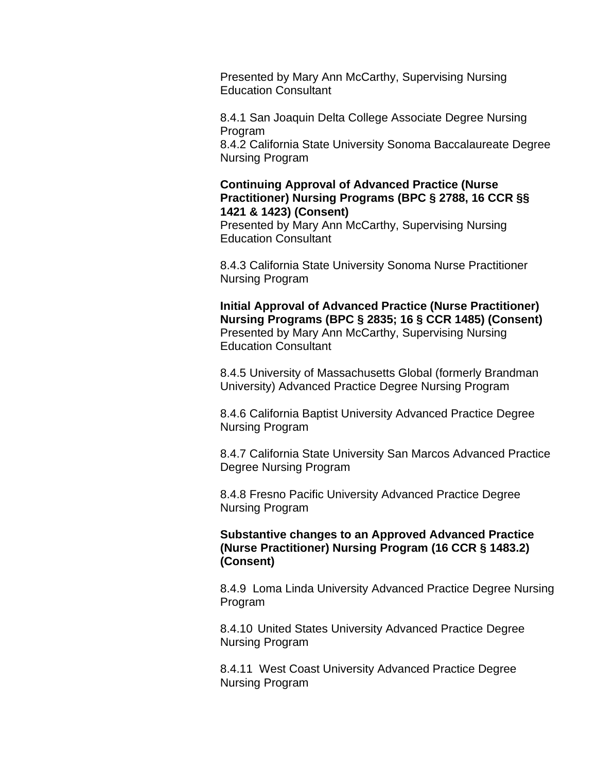Presented by Mary Ann McCarthy, Supervising Nursing Education Consultant

8.4.1 San Joaquin Delta College Associate Degree Nursing Program

8.4.2 California State University Sonoma Baccalaureate Degree Nursing Program

## **Continuing Approval of Advanced Practice (Nurse Practitioner) Nursing Programs (BPC § 2788, 16 CCR §§ 1421 & 1423) (Consent)**

Presented by Mary Ann McCarthy, Supervising Nursing Education Consultant

8.4.3 California State University Sonoma Nurse Practitioner Nursing Program

 **Nursing Programs (BPC § 2835; 16 § CCR 1485) (Consent) Initial Approval of Advanced Practice (Nurse Practitioner)**  Presented by Mary Ann McCarthy, Supervising Nursing Education Consultant

8.4.5 University of Massachusetts Global (formerly Brandman University) Advanced Practice Degree Nursing Program

8.4.6 California Baptist University Advanced Practice Degree Nursing Program

8.4.7 California State University San Marcos Advanced Practice Degree Nursing Program

8.4.8 Fresno Pacific University Advanced Practice Degree Nursing Program

# **Substantive changes to an Approved Advanced Practice (Nurse Practitioner) Nursing Program (16 CCR § 1483.2) (Consent)**

 8.4.9 Loma Linda University Advanced Practice Degree Nursing Program

8.4.10 United States University Advanced Practice Degree Nursing Program

 8.4.11 West Coast University Advanced Practice Degree Nursing Program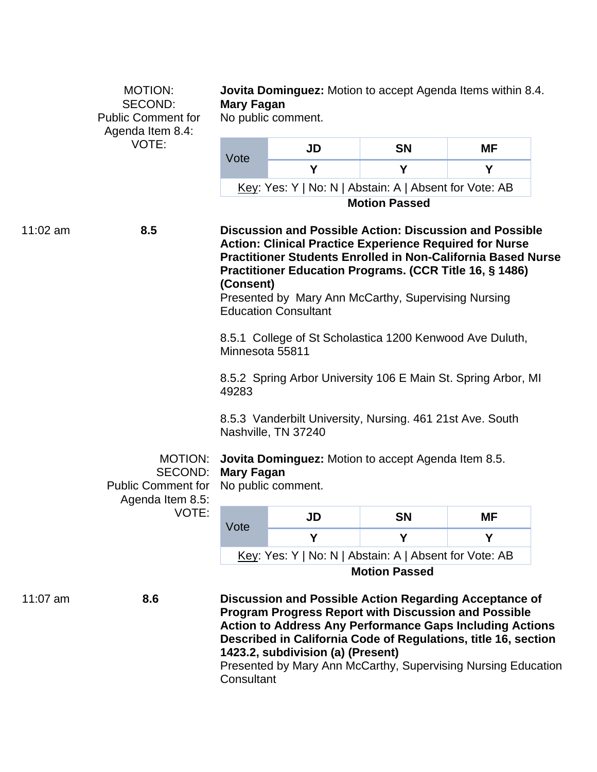|            | MOTION:<br><b>SECOND:</b><br><b>Public Comment for</b><br>Agenda Item 8.4: | <b>Mary Fagan</b>                                                                                                                                                                                                                                                                                                                                                            | <b>Jovita Dominguez:</b> Motion to accept Agenda Items within 8.4.<br>No public comment.                                                                                                                                                                                                                                                                         |                      |    |  |
|------------|----------------------------------------------------------------------------|------------------------------------------------------------------------------------------------------------------------------------------------------------------------------------------------------------------------------------------------------------------------------------------------------------------------------------------------------------------------------|------------------------------------------------------------------------------------------------------------------------------------------------------------------------------------------------------------------------------------------------------------------------------------------------------------------------------------------------------------------|----------------------|----|--|
|            | VOTE:                                                                      |                                                                                                                                                                                                                                                                                                                                                                              | <b>JD</b>                                                                                                                                                                                                                                                                                                                                                        | <b>SN</b>            | ΜF |  |
|            |                                                                            | Vote                                                                                                                                                                                                                                                                                                                                                                         | Y                                                                                                                                                                                                                                                                                                                                                                | Y                    | Y  |  |
|            |                                                                            |                                                                                                                                                                                                                                                                                                                                                                              | Key: Yes: Y   No: N   Abstain: A   Absent for Vote: AB                                                                                                                                                                                                                                                                                                           |                      |    |  |
|            |                                                                            |                                                                                                                                                                                                                                                                                                                                                                              |                                                                                                                                                                                                                                                                                                                                                                  | <b>Motion Passed</b> |    |  |
| $11:02$ am | 8.5                                                                        | <b>Discussion and Possible Action: Discussion and Possible</b><br><b>Action: Clinical Practice Experience Required for Nurse</b><br><b>Practitioner Students Enrolled in Non-California Based Nurse</b><br><b>Practitioner Education Programs. (CCR Title 16, § 1486)</b><br>(Consent)<br>Presented by Mary Ann McCarthy, Supervising Nursing<br><b>Education Consultant</b> |                                                                                                                                                                                                                                                                                                                                                                  |                      |    |  |
|            |                                                                            | 8.5.1 College of St Scholastica 1200 Kenwood Ave Duluth,<br>Minnesota 55811                                                                                                                                                                                                                                                                                                  |                                                                                                                                                                                                                                                                                                                                                                  |                      |    |  |
|            |                                                                            | 8.5.2 Spring Arbor University 106 E Main St. Spring Arbor, MI<br>49283<br>8.5.3 Vanderbilt University, Nursing. 461 21st Ave. South<br>Nashville, TN 37240<br><b>Jovita Dominguez:</b> Motion to accept Agenda Item 8.5.<br><b>Mary Fagan</b><br>No public comment.                                                                                                          |                                                                                                                                                                                                                                                                                                                                                                  |                      |    |  |
|            |                                                                            |                                                                                                                                                                                                                                                                                                                                                                              |                                                                                                                                                                                                                                                                                                                                                                  |                      |    |  |
|            | MOTION:<br>SECOND:<br><b>Public Comment for</b><br>Agenda Item 8.5:        |                                                                                                                                                                                                                                                                                                                                                                              |                                                                                                                                                                                                                                                                                                                                                                  |                      |    |  |
|            | VOTE:                                                                      |                                                                                                                                                                                                                                                                                                                                                                              | <b>JD</b>                                                                                                                                                                                                                                                                                                                                                        | <b>SN</b>            | MF |  |
|            |                                                                            | Vote                                                                                                                                                                                                                                                                                                                                                                         | Y                                                                                                                                                                                                                                                                                                                                                                | Y                    | Y  |  |
|            |                                                                            |                                                                                                                                                                                                                                                                                                                                                                              | Key: Yes: Y   No: N   Abstain: A   Absent for Vote: AB                                                                                                                                                                                                                                                                                                           |                      |    |  |
|            |                                                                            | <b>Motion Passed</b>                                                                                                                                                                                                                                                                                                                                                         |                                                                                                                                                                                                                                                                                                                                                                  |                      |    |  |
| 11:07 $am$ | 8.6                                                                        |                                                                                                                                                                                                                                                                                                                                                                              | Discussion and Possible Action Regarding Acceptance of<br><b>Program Progress Report with Discussion and Possible</b><br><b>Action to Address Any Performance Gaps Including Actions</b><br>Described in California Code of Regulations, title 16, section<br>1423.2, subdivision (a) (Present)<br>Presented by Mary Ann McCarthy, Supervising Nursing Education |                      |    |  |

**Consultant**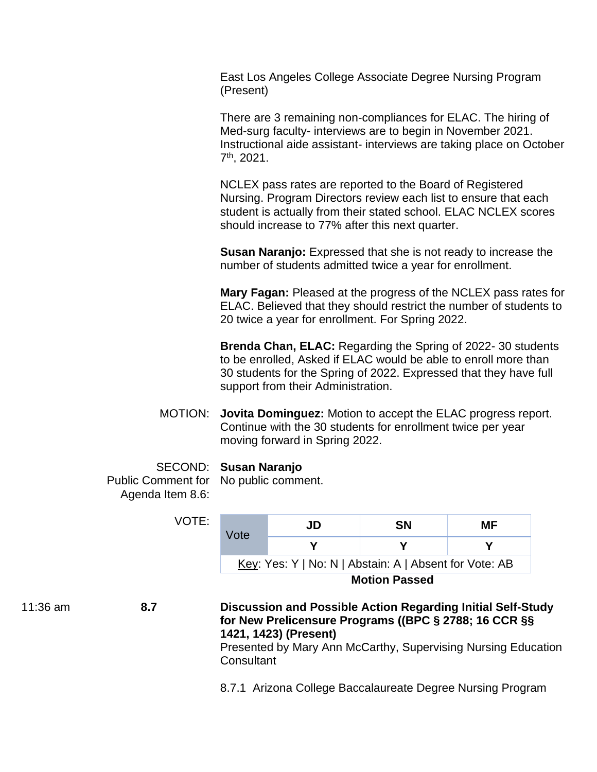East Los Angeles College Associate Degree Nursing Program (Present)

There are 3 remaining non-compliances for ELAC. The hiring of Med-surg faculty- interviews are to begin in November 2021. Instructional aide assistant- interviews are taking place on October 7th , 2021.

NCLEX pass rates are reported to the Board of Registered Nursing. Program Directors review each list to ensure that each student is actually from their stated school. ELAC NCLEX scores should increase to 77% after this next quarter.

**Susan Naranjo:** Expressed that she is not ready to increase the number of students admitted twice a year for enrollment.

**Mary Fagan:** Pleased at the progress of the NCLEX pass rates for ELAC. Believed that they should restrict the number of students to 20 twice a year for enrollment. For Spring 2022.

**Brenda Chan, ELAC:** Regarding the Spring of 2022- 30 students to be enrolled, Asked if ELAC would be able to enroll more than 30 students for the Spring of 2022. Expressed that they have full support from their Administration.

MOTION: **Jovita Dominguez:** Motion to accept the ELAC progress report. Continue with the 30 students for enrollment twice per year moving forward in Spring 2022.

#### SECOND: **Susan Naranjo**

VOTE:

Public Comment for No public comment. Agenda Item 8.6:

| Vote                                                   | JD | SΝ | MF |  |
|--------------------------------------------------------|----|----|----|--|
|                                                        |    |    |    |  |
| Key: Yes: Y   No: N   Abstain: A   Absent for Vote: AB |    |    |    |  |
| <b>Motion Passed</b>                                   |    |    |    |  |

## 11:36 am **8.7 Discussion and Possible Action Regarding Initial Self-Study for New Prelicensure Programs ((BPC § 2788; 16 CCR §§ 1421, 1423) (Present)**

Presented by Mary Ann McCarthy, Supervising Nursing Education **Consultant** 

8.7.1 Arizona College Baccalaureate Degree Nursing Program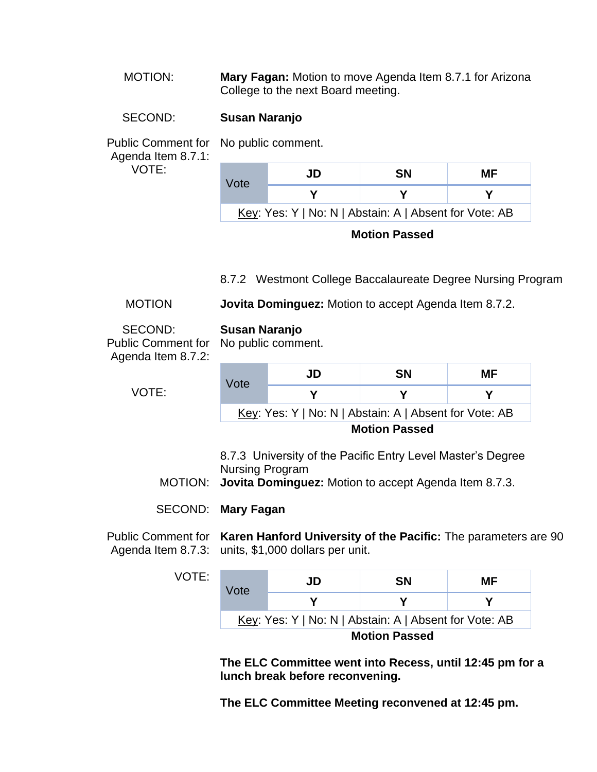MOTION: **Mary Fagan:** Motion to move Agenda Item 8.7.1 for Arizona College to the next Board meeting.

# SECOND: **Susan Naranjo**

Public Comment for No public comment.

 Agenda Item 8.7.1: VOTE:

| Vote | JD | <b>SN</b> | МF                                                            |
|------|----|-----------|---------------------------------------------------------------|
|      |    |           |                                                               |
|      |    |           | <u>Key:</u> Yes: Y   No: N   Abstain: A   Absent for Vote: AB |

**Motion Passed** 

8.7.2 Westmont College Baccalaureate Degree Nursing Program

MOTION **Jovita Dominguez:** Motion to accept Agenda Item 8.7.2.

| SECOND:<br><b>Public Comment for</b><br>Agenda Item 8.7.2:                                                                                                    | Susan Naranjo                                          | No public comment. |           |     |  |
|---------------------------------------------------------------------------------------------------------------------------------------------------------------|--------------------------------------------------------|--------------------|-----------|-----|--|
|                                                                                                                                                               | Vote                                                   | JD                 | <b>SN</b> | MF. |  |
| VOTE:                                                                                                                                                         |                                                        | Υ                  | Υ         | Υ   |  |
|                                                                                                                                                               | Key: Yes: Y   No: N   Abstain: A   Absent for Vote: AB |                    |           |     |  |
|                                                                                                                                                               | <b>Motion Passed</b>                                   |                    |           |     |  |
| 8.7.3 University of the Pacific Entry Level Master's Degree<br><b>Nursing Program</b><br>MOTION: <b>Jovita Dominguez:</b> Motion to accept Agenda Item 8.7.3. |                                                        |                    |           |     |  |

SECOND: **Mary Fagan** 

Public Comment for **Karen Hanford University of the Pacific:** The parameters are 90 Agenda Item 8.7.3: units, \$1,000 dollars per unit.

| ۰, |  | ٠ |  |
|----|--|---|--|
|    |  |   |  |

| Vote                                                   | JD | SΝ | MF |  |
|--------------------------------------------------------|----|----|----|--|
|                                                        |    |    |    |  |
| Key: Yes: Y   No: N   Abstain: A   Absent for Vote: AB |    |    |    |  |
| <b>Motion Passed</b>                                   |    |    |    |  |

**The ELC Committee went into Recess, until 12:45 pm for a lunch break before reconvening.** 

**The ELC Committee Meeting reconvened at 12:45 pm.**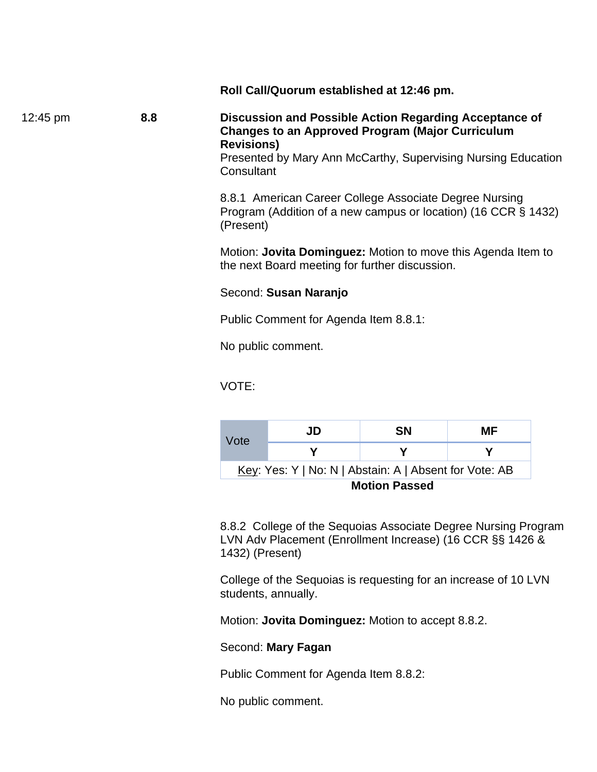**Roll Call/Quorum established at 12:46 pm.** 

12:45 pm **8.8 Discussion and Possible Action Regarding Acceptance of Changes to an Approved Program (Major Curriculum Revisions)** 

Presented by Mary Ann McCarthy, Supervising Nursing Education **Consultant** 

 8.8.1 American Career College Associate Degree Nursing Program (Addition of a new campus or location) (16 CCR § 1432) (Present)

 Motion: **Jovita Dominguez:** Motion to move this Agenda Item to the next Board meeting for further discussion.

#### Second: **Susan Naranjo**

Public Comment for Agenda Item 8.8.1:

No public comment.

VOTE:

| Vote                                                   | JD | <b>SN</b> | МF |  |  |
|--------------------------------------------------------|----|-----------|----|--|--|
|                                                        |    |           |    |  |  |
| Key: Yes: Y   No: N   Abstain: A   Absent for Vote: AB |    |           |    |  |  |
| <b>Motion Passed</b>                                   |    |           |    |  |  |

 8.8.2 College of the Sequoias Associate Degree Nursing Program LVN Adv Placement (Enrollment Increase) (16 CCR §§ 1426 & 1432) (Present)

 College of the Sequoias is requesting for an increase of 10 LVN students, annually.

Motion: **Jovita Dominguez:** Motion to accept 8.8.2.

#### Second: **Mary Fagan**

Public Comment for Agenda Item 8.8.2:

No public comment.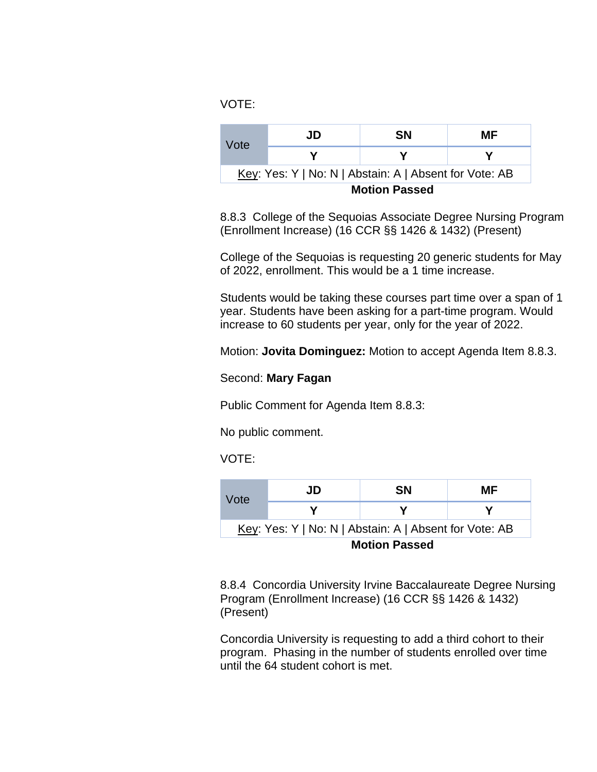VOTE:

| Vote                                                   | JD | SΝ | MF |  |
|--------------------------------------------------------|----|----|----|--|
|                                                        |    |    |    |  |
| Key: Yes: Y   No: N   Abstain: A   Absent for Vote: AB |    |    |    |  |
| <b>Motion Passed</b>                                   |    |    |    |  |

 8.8.3 College of the Sequoias Associate Degree Nursing Program (Enrollment Increase) (16 CCR §§ 1426 & 1432) (Present)

 College of the Sequoias is requesting 20 generic students for May of 2022, enrollment. This would be a 1 time increase.

Students would be taking these courses part time over a span of 1 year. Students have been asking for a part-time program. Would increase to 60 students per year, only for the year of 2022.

Motion: **Jovita Dominguez:** Motion to accept Agenda Item 8.8.3.

## Second: **Mary Fagan**

Public Comment for Agenda Item 8.8.3:

No public comment.

VOTE:

| Vote                                                   | JD | SΝ | MF |  |
|--------------------------------------------------------|----|----|----|--|
|                                                        |    |    |    |  |
| Key: Yes: Y   No: N   Abstain: A   Absent for Vote: AB |    |    |    |  |
| <b>Motion Passed</b>                                   |    |    |    |  |

 8.8.4 Concordia University Irvine Baccalaureate Degree Nursing Program (Enrollment Increase) (16 CCR §§ 1426 & 1432) (Present)

 Concordia University is requesting to add a third cohort to their program. Phasing in the number of students enrolled over time until the 64 student cohort is met.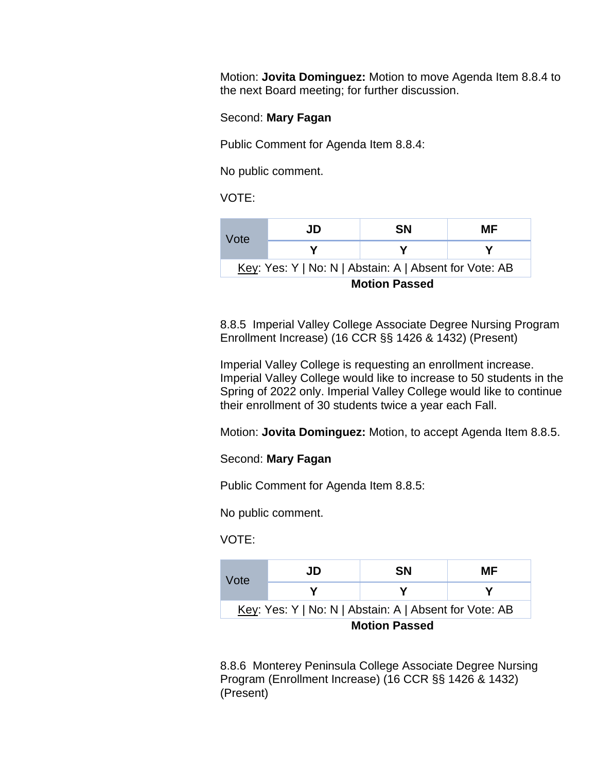Motion: **Jovita Dominguez:** Motion to move Agenda Item 8.8.4 to the next Board meeting; for further discussion.

#### Second: **Mary Fagan**

Public Comment for Agenda Item 8.8.4:

No public comment.

VOTE:

| Vote                                                   | JD | <b>SN</b> | МF |  |
|--------------------------------------------------------|----|-----------|----|--|
|                                                        |    |           |    |  |
| Key: Yes: Y   No: N   Abstain: A   Absent for Vote: AB |    |           |    |  |
| <b>Motion Passed</b>                                   |    |           |    |  |

 8.8.5 Imperial Valley College Associate Degree Nursing Program Enrollment Increase) (16 CCR §§ 1426 & 1432) (Present)

 Imperial Valley College is requesting an enrollment increase. Imperial Valley College would like to increase to 50 students in the Spring of 2022 only. Imperial Valley College would like to continue their enrollment of 30 students twice a year each Fall.

Motion: **Jovita Dominguez:** Motion, to accept Agenda Item 8.8.5.

#### Second: **Mary Fagan**

Public Comment for Agenda Item 8.8.5:

No public comment.

VOTE:

| Vote                                                   | JD | SΝ | МF |
|--------------------------------------------------------|----|----|----|
|                                                        |    |    |    |
| Key: Yes: Y   No: N   Abstain: A   Absent for Vote: AB |    |    |    |
| <b>Motion Passed</b>                                   |    |    |    |

 8.8.6 Monterey Peninsula College Associate Degree Nursing Program (Enrollment Increase) (16 CCR §§ 1426 & 1432) (Present)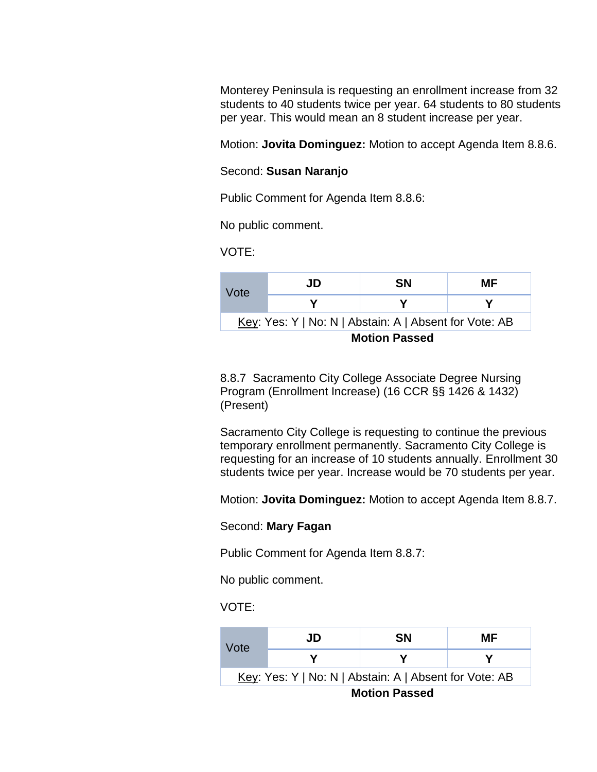Monterey Peninsula is requesting an enrollment increase from 32 students to 40 students twice per year. 64 students to 80 students per year. This would mean an 8 student increase per year.

Motion: **Jovita Dominguez:** Motion to accept Agenda Item 8.8.6.

#### Second: **Susan Naranjo**

Public Comment for Agenda Item 8.8.6:

No public comment.

VOTE:

| Vote                                                           | JD | SΝ | MF |
|----------------------------------------------------------------|----|----|----|
|                                                                |    |    |    |
| <u>Key</u> : Yes: Y   No: N   Abstain: A   Absent for Vote: AB |    |    |    |
| <b>Motion Passed</b>                                           |    |    |    |

 8.8.7 Sacramento City College Associate Degree Nursing Program (Enrollment Increase) (16 CCR §§ 1426 & 1432) (Present)

Sacramento City College is requesting to continue the previous temporary enrollment permanently. Sacramento City College is requesting for an increase of 10 students annually. Enrollment 30 students twice per year. Increase would be 70 students per year.

Motion: **Jovita Dominguez:** Motion to accept Agenda Item 8.8.7.

#### Second: **Mary Fagan**

Public Comment for Agenda Item 8.8.7:

No public comment.

#### VOTE:

| Vote                                                   | JD | <b>SN</b> | МF |
|--------------------------------------------------------|----|-----------|----|
|                                                        |    |           |    |
| Key: Yes: Y   No: N   Abstain: A   Absent for Vote: AB |    |           |    |
| <b>Motion Passed</b>                                   |    |           |    |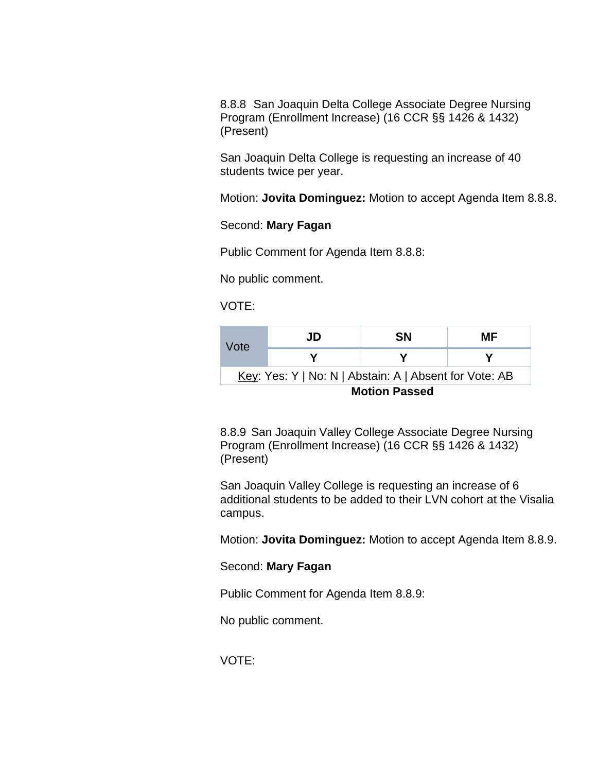8.8.8 San Joaquin Delta College Associate Degree Nursing Program (Enrollment Increase) (16 CCR §§ 1426 & 1432) (Present)

San Joaquin Delta College is requesting an increase of 40 students twice per year.

Motion: **Jovita Dominguez:** Motion to accept Agenda Item 8.8.8.

#### Second: **Mary Fagan**

Public Comment for Agenda Item 8.8.8:

No public comment.

VOTE:

| Vote                                                   | JD | SΝ | МF |
|--------------------------------------------------------|----|----|----|
|                                                        |    |    |    |
| Key: Yes: Y   No: N   Abstain: A   Absent for Vote: AB |    |    |    |
| <b>Motion Passed</b>                                   |    |    |    |

 8.8.9 San Joaquin Valley College Associate Degree Nursing Program (Enrollment Increase) (16 CCR §§ 1426 & 1432) (Present)

 San Joaquin Valley College is requesting an increase of 6 additional students to be added to their LVN cohort at the Visalia campus.

Motion: **Jovita Dominguez:** Motion to accept Agenda Item 8.8.9.

#### Second: **Mary Fagan**

Public Comment for Agenda Item 8.8.9:

No public comment.

VOTE: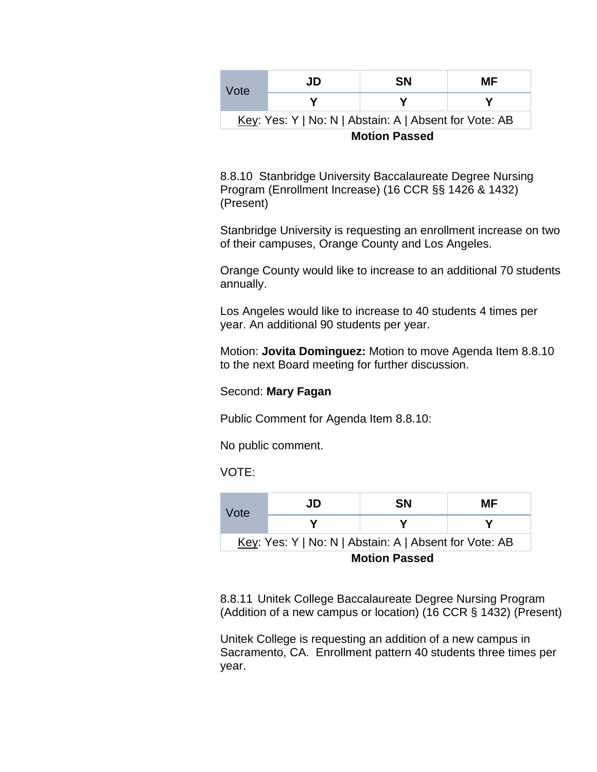| Vote                                                   | JD | SΝ | МF |
|--------------------------------------------------------|----|----|----|
|                                                        |    |    |    |
| Key: Yes: Y   No: N   Abstain: A   Absent for Vote: AB |    |    |    |
| <b>Motion Passed</b>                                   |    |    |    |

 8.8.10 Stanbridge University Baccalaureate Degree Nursing Program (Enrollment Increase) (16 CCR §§ 1426 & 1432) (Present)

 Stanbridge University is requesting an enrollment increase on two of their campuses, Orange County and Los Angeles.

 Orange County would like to increase to an additional 70 students annually.

Los Angeles would like to increase to 40 students 4 times per year. An additional 90 students per year.

 Motion: **Jovita Dominguez:** Motion to move Agenda Item 8.8.10 to the next Board meeting for further discussion.

#### Second: **Mary Fagan**

Public Comment for Agenda Item 8.8.10:

No public comment.

VOTE:

| Vote                                                   | JD | <b>SN</b> | МF |
|--------------------------------------------------------|----|-----------|----|
|                                                        |    |           |    |
| Key: Yes: Y   No: N   Abstain: A   Absent for Vote: AB |    |           |    |
| <b>Motion Passed</b>                                   |    |           |    |

8.8.11 Unitek College Baccalaureate Degree Nursing Program (Addition of a new campus or location) (16 CCR § 1432) (Present)

 Unitek College is requesting an addition of a new campus in Sacramento, CA. Enrollment pattern 40 students three times per year.